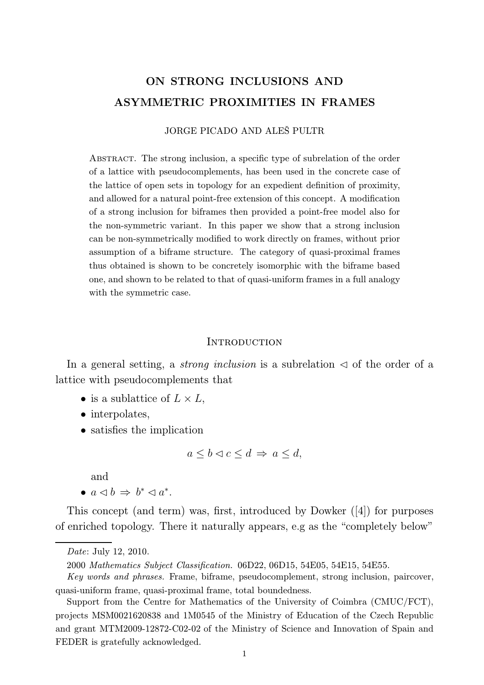# ON STRONG INCLUSIONS AND ASYMMETRIC PROXIMITIES IN FRAMES

## JORGE PICADO AND ALEŠ PULTR

ABSTRACT. The strong inclusion, a specific type of subrelation of the order of a lattice with pseudocomplements, has been used in the concrete case of the lattice of open sets in topology for an expedient definition of proximity, and allowed for a natural point-free extension of this concept. A modification of a strong inclusion for biframes then provided a point-free model also for the non-symmetric variant. In this paper we show that a strong inclusion can be non-symmetrically modified to work directly on frames, without prior assumption of a biframe structure. The category of quasi-proximal frames thus obtained is shown to be concretely isomorphic with the biframe based one, and shown to be related to that of quasi-uniform frames in a full analogy with the symmetric case.

#### **INTRODUCTION**

In a general setting, a *strong inclusion* is a subrelation  $\triangleleft$  of the order of a lattice with pseudocomplements that

- is a sublattice of  $L \times L$ ,
- interpolates,
- satisfies the implication

$$
a \le b \lhd c \le d \Rightarrow a \le d,
$$

and

•  $a \triangleleft b \Rightarrow b^* \triangleleft a^*$ .

This concept (and term) was, first, introduced by Dowker ([4]) for purposes of enriched topology. There it naturally appears, e.g as the "completely below"

Date: July 12, 2010.

<sup>2000</sup> Mathematics Subject Classification. 06D22, 06D15, 54E05, 54E15, 54E55.

Key words and phrases. Frame, biframe, pseudocomplement, strong inclusion, paircover, quasi-uniform frame, quasi-proximal frame, total boundedness.

Support from the Centre for Mathematics of the University of Coimbra (CMUC/FCT), projects MSM0021620838 and 1M0545 of the Ministry of Education of the Czech Republic and grant MTM2009-12872-C02-02 of the Ministry of Science and Innovation of Spain and FEDER is gratefully acknowledged.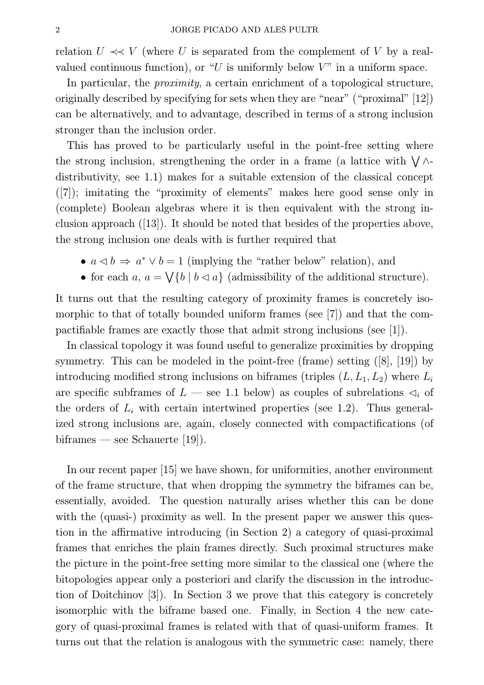relation  $U \ll V$  (where U is separated from the complement of V by a realvalued continuous function), or "U is uniformly below  $V$ " in a uniform space.

In particular, the *proximity*, a certain enrichment of a topological structure, originally described by specifying for sets when they are "near" ("proximal" [12]) can be alternatively, and to advantage, described in terms of a strong inclusion stronger than the inclusion order.

This has proved to be particularly useful in the point-free setting where the strong inclusion, strengthening the order in a frame (a lattice with  $\bigvee \wedge$ distributivity, see 1.1) makes for a suitable extension of the classical concept ([7]); imitating the "proximity of elements" makes here good sense only in (complete) Boolean algebras where it is then equivalent with the strong inclusion approach ([13]). It should be noted that besides of the properties above, the strong inclusion one deals with is further required that

- $a \triangleleft b \Rightarrow a^* \vee b = 1$  (implying the "rather below" relation), and
- for each  $a, a = \bigvee \{b \mid b \lhd a\}$  (admissibility of the additional structure).

It turns out that the resulting category of proximity frames is concretely isomorphic to that of totally bounded uniform frames (see [7]) and that the compactifiable frames are exactly those that admit strong inclusions (see [1]).

In classical topology it was found useful to generalize proximities by dropping symmetry. This can be modeled in the point-free (frame) setting ([8], [19]) by introducing modified strong inclusions on biframes (triples  $(L, L_1, L_2)$ ) where  $L_i$ are specific subframes of  $L$  — see 1.1 below) as couples of subrelations  $\mathcal{A}_i$  of the orders of  $L_i$  with certain intertwined properties (see 1.2). Thus generalized strong inclusions are, again, closely connected with compactifications (of biframes — see Schauerte [19]).

In our recent paper [15] we have shown, for uniformities, another environment of the frame structure, that when dropping the symmetry the biframes can be, essentially, avoided. The question naturally arises whether this can be done with the (quasi-) proximity as well. In the present paper we answer this question in the affirmative introducing (in Section 2) a category of quasi-proximal frames that enriches the plain frames directly. Such proximal structures make the picture in the point-free setting more similar to the classical one (where the bitopologies appear only a posteriori and clarify the discussion in the introduction of Doitchinov [3]). In Section 3 we prove that this category is concretely isomorphic with the biframe based one. Finally, in Section 4 the new category of quasi-proximal frames is related with that of quasi-uniform frames. It turns out that the relation is analogous with the symmetric case: namely, there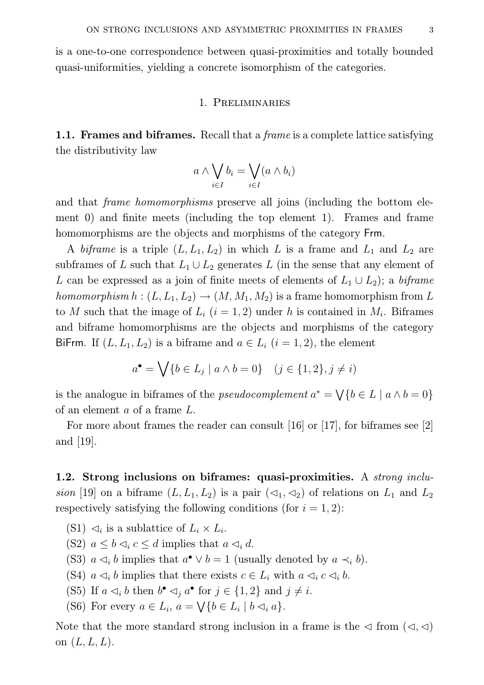is a one-to-one correspondence between quasi-proximities and totally bounded quasi-uniformities, yielding a concrete isomorphism of the categories.

# 1. Preliminaries

1.1. Frames and biframes. Recall that a *frame* is a complete lattice satisfying the distributivity law

$$
a \wedge \bigvee_{i \in I} b_i = \bigvee_{i \in I} (a \wedge b_i)
$$

and that *frame homomorphisms* preserve all joins (including the bottom element 0) and finite meets (including the top element 1). Frames and frame homomorphisms are the objects and morphisms of the category Frm.

A *biframe* is a triple  $(L, L_1, L_2)$  in which L is a frame and  $L_1$  and  $L_2$  are subframes of L such that  $L_1 \cup L_2$  generates L (in the sense that any element of L can be expressed as a join of finite meets of elements of  $L_1 \cup L_2$ ; a *biframe homomorphism*  $h : (L, L_1, L_2) \to (M, M_1, M_2)$  is a frame homomorphism from L to M such that the image of  $L_i$   $(i = 1, 2)$  under h is contained in  $M_i$ . Biframes and biframe homomorphisms are the objects and morphisms of the category BiFrm. If  $(L, L_1, L_2)$  is a biframe and  $a \in L_i$   $(i = 1, 2)$ , the element

$$
a^{\bullet} = \bigvee \{ b \in L_j \mid a \wedge b = 0 \} \quad (j \in \{1, 2\}, j \neq i)
$$

is the analogue in biframes of the *pseudocomplement*  $a^* = \bigvee \{b \in L \mid a \wedge b = 0\}$ of an element a of a frame L.

For more about frames the reader can consult [16] or [17], for biframes see [2] and [19].

1.2. Strong inclusions on biframes: quasi-proximities. A *strong inclusion* [19] on a biframe  $(L, L_1, L_2)$  is a pair  $(\lhd_1, \lhd_2)$  of relations on  $L_1$  and  $L_2$ respectively satisfying the following conditions (for  $i = 1, 2$ ):

- (S1)  $\lhd_i$  is a sublattice of  $L_i \times L_i$ .
- (S2)  $a \leq b \leq i \leq d$  implies that  $a \leq_i d$ .
- (S3)  $a \triangleleft_i b$  implies that  $a^{\bullet} \vee b = 1$  (usually denoted by  $a \prec_i b$ ).
- (S4)  $a \triangleleft_i b$  implies that there exists  $c \in L_i$  with  $a \triangleleft_i c \triangleleft_i b$ .
- (S5) If  $a \triangleleft_i b$  then  $b^{\bullet} \triangleleft_j a^{\bullet}$  for  $j \in \{1,2\}$  and  $j \neq i$ .
- (S6) For every  $a \in L_i$ ,  $a = \bigvee \{b \in L_i \mid b \vartriangleleft_i a\}.$

Note that the more standard strong inclusion in a frame is the  $\triangleleft$  from  $(\triangleleft, \triangleleft)$ on  $(L, L, L)$ .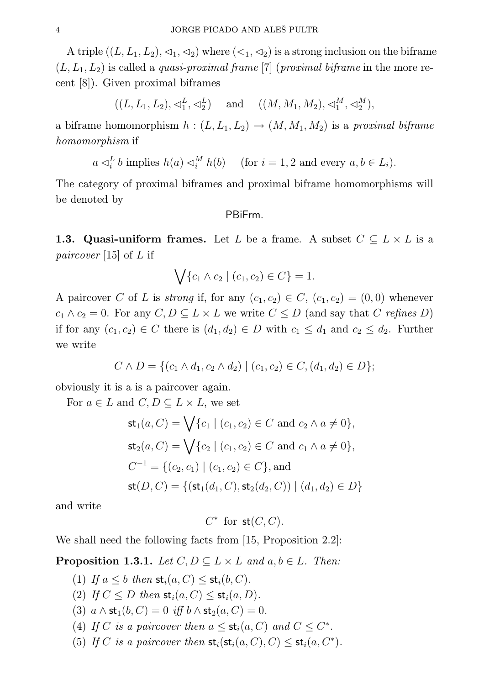A triple  $((L, L_1, L_2), \lhd_1, \lhd_2)$  where  $(\lhd_1, \lhd_2)$  is a strong inclusion on the biframe  $(L, L_1, L_2)$  is called a *quasi-proximal frame* [7] (*proximal biframe* in the more recent [8]). Given proximal biframes

> $((L, L_1, L_2), \triangleleft_1^L)$  $\frac{L}{1}, \triangleleft^L_2$  $_{2}^{L}$ ) and  $((M, M_1, M_2), \triangleleft_{1}^{M})$  $_1^M, \triangleleft_2^M$  $\binom{M}{2}$ ,

a biframe homomorphism  $h : (L, L_1, L_2) \to (M, M_1, M_2)$  is a *proximal biframe homomorphism* if

$$
a \triangleleft_i^L b
$$
 implies  $h(a) \triangleleft_i^M h(b)$  (for  $i = 1, 2$  and every  $a, b \in L_i$ ).

The category of proximal biframes and proximal biframe homomorphisms will be denoted by

PBiFrm.

1.3. Quasi-uniform frames. Let L be a frame. A subset  $C \subseteq L \times L$  is a *paircover* [15] of L if

$$
\bigvee \{c_1 \wedge c_2 \mid (c_1, c_2) \in C\} = 1.
$$

A paircover C of L is *strong* if, for any  $(c_1, c_2) \in C$ ,  $(c_1, c_2) = (0, 0)$  whenever  $c_1 \wedge c_2 = 0$ . For any  $C, D \subseteq L \times L$  we write  $C \leq D$  (and say that C *refines* D) if for any  $(c_1, c_2) \in C$  there is  $(d_1, d_2) \in D$  with  $c_1 \leq d_1$  and  $c_2 \leq d_2$ . Further we write

$$
C \wedge D = \{ (c_1 \wedge d_1, c_2 \wedge d_2) \mid (c_1, c_2) \in C, (d_1, d_2) \in D \};
$$

obviously it is a is a paircover again.

For  $a \in L$  and  $C, D \subseteq L \times L$ , we set

$$
\mathsf{st}_1(a, C) = \bigvee \{c_1 \mid (c_1, c_2) \in C \text{ and } c_2 \land a \neq 0\},
$$
\n
$$
\mathsf{st}_2(a, C) = \bigvee \{c_2 \mid (c_1, c_2) \in C \text{ and } c_1 \land a \neq 0\},
$$
\n
$$
C^{-1} = \{(c_2, c_1) \mid (c_1, c_2) \in C\},
$$
\n
$$
\mathsf{at}(D, C) = \{(\mathsf{st}_1(d_1, C), \mathsf{st}_2(d_2, C)) \mid (d_1, d_2) \in D\}
$$

and write

$$
C^* \ \ \text{for} \ \ \text{st}(C, C).
$$

We shall need the following facts from [15, Proposition 2.2]:

**Proposition 1.3.1.** *Let*  $C, D \subseteq L \times L$  *and*  $a, b \in L$ *. Then:* 

(1) If 
$$
a \leq b
$$
 then  $\mathsf{st}_i(a, C) \leq \mathsf{st}_i(b, C)$ .

- (2) If  $C \leq D$  then  $\mathsf{st}_i(a, C) \leq \mathsf{st}_i(a, D)$ .
- (3)  $a \wedge$  st<sub>1</sub>(b, C) = 0 *iff*  $b \wedge$  st<sub>2</sub>(a, C) = 0.
- (4) If C is a paircover then  $a \leq st_i(a, C)$  and  $C \leq C^*$ .
- (5) If C is a paircover then  $\mathsf{st}_i(\mathsf{st}_i(a, C), C) \leq \mathsf{st}_i(a, C^*)$ .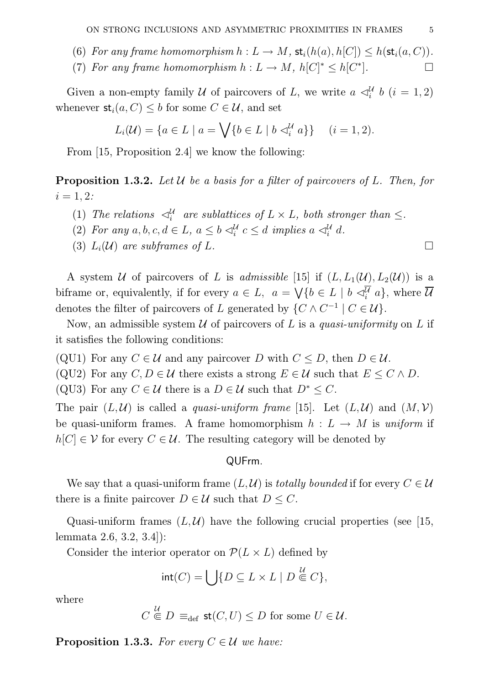- (6) For any frame homomorphism  $h: L \to M$ ,  $\mathsf{st}_i(h(a), h[C]) \leq h(\mathsf{st}_i(a, C)).$
- (7) For any frame homomorphism  $h: L \to M$ ,  $h[C]^* \leq h[C^*]$ ]*.*

Given a non-empty family U of paircovers of L, we write  $a \triangleleft_i^U b$   $(i = 1, 2)$ whenever  $\mathsf{st}_i(a, C) \leq b$  for some  $C \in \mathcal{U}$ , and set

$$
L_i(\mathcal{U}) = \{a \in L \mid a = \bigvee \{b \in L \mid b \triangleleft_i^{\mathcal{U}} a\}\} \quad (i = 1, 2).
$$

From [15, Proposition 2.4] we know the following:

Proposition 1.3.2. *Let* U *be a basis for a filter of paircovers of* L*. Then, for*  $i = 1, 2:$ 

- (1) The relations  $\langle \xi_i^U \rangle$  are sublattices of  $L \times L$ , both stronger than  $\leq$ .
- (2) For any  $a, b, c, d \in L$ ,  $a \leq b \leq_i^{\mathcal{U}} c \leq d$  implies  $a \leq_i^{\mathcal{U}} d$ .
- (3)  $L_i(\mathcal{U})$  *are subframes of* L.

A system U of paircovers of L is *admissible* [15] if  $(L, L_1(\mathcal{U}), L_2(\mathcal{U}))$  is a biframe or, equivalently, if for every  $a \in L$ ,  $a = \bigvee \{b \in L \mid b \prec_{i}^{\overline{U}} a\}$ , where  $\overline{\mathcal{U}}$ denotes the filter of paircovers of L generated by  $\{C \wedge C^{-1} | C \in U\}.$ 

Now, an admissible system  $U$  of paircovers of L is a *quasi-uniformity* on L if it satisfies the following conditions:

(QU1) For any  $C \in \mathcal{U}$  and any paircover D with  $C \leq D$ , then  $D \in \mathcal{U}$ .

(QU2) For any  $C, D \in \mathcal{U}$  there exists a strong  $E \in \mathcal{U}$  such that  $E \leq C \wedge D$ .

(QU3) For any  $C \in \mathcal{U}$  there is a  $D \in \mathcal{U}$  such that  $D^* \leq C$ .

The pair  $(L, \mathcal{U})$  is called a *quasi-uniform frame* [15]. Let  $(L, \mathcal{U})$  and  $(M, \mathcal{V})$ be quasi-uniform frames. A frame homomorphism  $h : L \to M$  is *uniform* if  $h[C] \in V$  for every  $C \in \mathcal{U}$ . The resulting category will be denoted by

# QUFrm.

We say that a quasi-uniform frame  $(L, \mathcal{U})$  is *totally bounded* if for every  $C \in \mathcal{U}$ there is a finite paircover  $D \in \mathcal{U}$  such that  $D \leq C$ .

Quasi-uniform frames  $(L, \mathcal{U})$  have the following crucial properties (see [15, lemmata 2.6, 3.2, 3.4]):

Consider the interior operator on  $\mathcal{P}(L \times L)$  defined by

$$
int(C) = \bigcup \{ D \subseteq L \times L \mid D \stackrel{U}{\in} C \},
$$

where

$$
C \overset{\mathcal{U}}{\Subset} D \ \equiv_{\mathrm{def}} \ \mathsf{st}(C, U) \leq D \ \mathrm{for \ some} \ U \in \mathcal{U}.
$$

**Proposition 1.3.3.** For every  $C \in \mathcal{U}$  we have: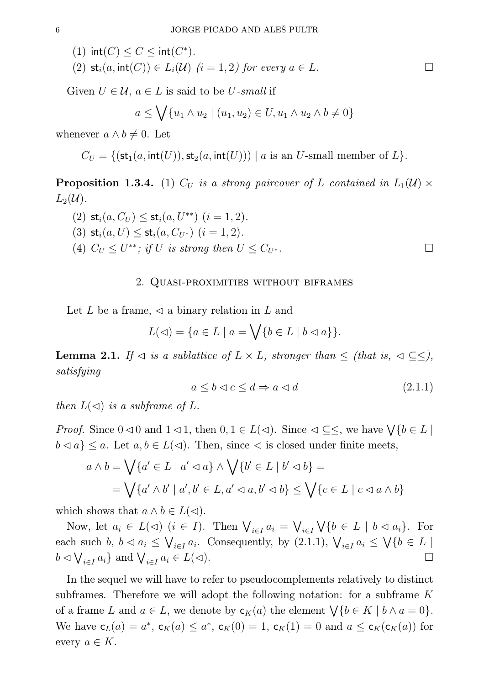- (1)  $int(C) \le C \le int(C^*)$ .
- (2)  $\mathsf{st}_i(a, \mathsf{int}(C)) \in L_i(\mathcal{U})$  *(i = 1, 2) for every*  $a \in L$ .

Given  $U \in \mathcal{U}$ ,  $a \in L$  is said to be U-small if

$$
a \leq \bigvee \{u_1 \wedge u_2 \mid (u_1, u_2) \in U, u_1 \wedge u_2 \wedge b \neq 0\}
$$

whenever  $a \wedge b \neq 0$ . Let

$$
C_U = \{(\text{st}_1(a, \text{int}(U)), \text{st}_2(a, \text{int}(U))) \mid a \text{ is an } U\text{-small member of } L\}.
$$

**Proposition 1.3.4.** (1)  $C_U$  *is a strong paircover of* L *contained in*  $L_1(\mathcal{U}) \times$  $L_2(\mathcal{U})$ .

(2)  $\mathsf{st}_i(a, C_U) \leq \mathsf{st}_i(a, U^{**})$   $(i = 1, 2)$ *.* (3)  $\mathsf{st}_i(a, U) \leq \mathsf{st}_i(a, C_{U^*})$   $(i = 1, 2)$ *.* (4)  $C_U \leq U^{**}$ ; if U is strong then  $U \leq C_{U^*}$ .

#### 2. Quasi-proximities without biframes

Let L be a frame,  $\triangleleft$  a binary relation in L and

$$
L(\lhd) = \{ a \in L \mid a = \bigvee \{ b \in L \mid b \lhd a \} \}.
$$

**Lemma 2.1.** *If*  $\lhd$  *is a sublattice of*  $L \times L$ *, stronger than*  $\leq$  *(that is,*  $\lhd \subseteq \leq$ *)*, *satisfying*

$$
a \le b \lhd c \le d \Rightarrow a \lhd d \tag{2.1.1}
$$

*then*  $L(\triangleleft)$  *is a subframe of*  $L$ *.* 

*Proof.* Since  $0 \le 0$  and  $1 \le 1$ , then  $0, 1 \in L(\le)$ . Since  $\le \le$ , we have  $\bigvee \{b \in L \mid$  $b \triangleleft a$   $\le a$ . Let  $a, b \in L(\triangleleft)$ . Then, since  $\triangleleft$  is closed under finite meets,

$$
a \wedge b = \bigvee \{a' \in L \mid a' \lhd a\} \wedge \bigvee \{b' \in L \mid b' \lhd b\} =
$$
  
= 
$$
\bigvee \{a' \wedge b' \mid a', b' \in L, a' \lhd a, b' \lhd b\} \le \bigvee \{c \in L \mid c \lhd a \wedge b\}
$$

which shows that  $a \wedge b \in L(\lhd)$ .

Now, let  $a_i \in L(\triangleleft)$   $(i \in I)$ . Then  $\bigvee_{i \in I} a_i = \bigvee_{i \in I} \bigvee \{b \in L \mid b \vartriangleleft a_i\}.$  For each such b,  $b \lhd a_i \leq \bigvee_{i \in I} a_i$ . Consequently, by (2.1.1),  $\bigvee_{i \in I} a_i \leq \bigvee \{b \in L \mid$  $b \triangleleft \bigvee_{i \in I} a_i \}$  and  $\bigvee_{i \in I} a_i \in L(\triangleleft)$ .

In the sequel we will have to refer to pseudocomplements relatively to distinct subframes. Therefore we will adopt the following notation: for a subframe K of a frame L and  $a \in L$ , we denote by  $\mathsf{c}_K(a)$  the element  $\bigvee \{b \in K \mid b \wedge a = 0\}.$ We have  $\mathsf{c}_L(a) = a^*$ ,  $\mathsf{c}_K(a) \le a^*$ ,  $\mathsf{c}_K(0) = 1$ ,  $\mathsf{c}_K(1) = 0$  and  $a \le \mathsf{c}_K(\mathsf{c}_K(a))$  for every  $a \in K$ .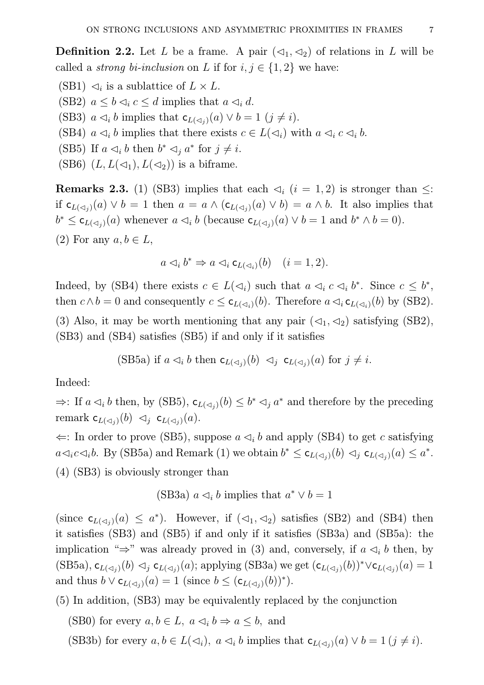**Definition 2.2.** Let L be a frame. A pair  $(\lhd_1, \lhd_2)$  of relations in L will be called a *strong bi-inclusion* on L if for  $i, j \in \{1, 2\}$  we have:

- (SB1)  $\lhd_i$  is a sublattice of  $L \times L$ .
- (SB2)  $a \leq b \leq_i c \leq d$  implies that  $a \leq_i d$ .
- (SB3)  $a \triangleleft_i b$  implies that  $c_{L(\triangleleft_i)}(a) \vee b = 1 \ (j \neq i).$
- (SB4)  $a \triangleleft_i b$  implies that there exists  $c \in L(\triangleleft_i)$  with  $a \triangleleft_i c \triangleleft_i b$ .
- (SB5) If  $a \triangleleft_i b$  then  $b^* \triangleleft_j a^*$  for  $j \neq i$ .
- (SB6)  $(L, L(\lhd_1), L(\lhd_2))$  is a biframe.

**Remarks 2.3.** (1) (SB3) implies that each  $\lhd_i$  (i = 1, 2) is stronger than  $\leq$ : if  $c_{L(\lhd_i)}(a) \vee b = 1$  then  $a = a \wedge (c_{L(\lhd_i)}(a) \vee b) = a \wedge b$ . It also implies that  $b^* \leq \mathsf{c}_{L(\lhd_j)}(a)$  whenever  $a \lhd_i b$  (because  $\mathsf{c}_{L(\lhd_j)}(a) \lor b = 1$  and  $b^* \land b = 0$ ). (2) For any  $a, b \in L$ ,

$$
a \lhd_i b^* \Rightarrow a \lhd_i \mathsf{c}_{L(\lhd_i)}(b) \quad (i = 1, 2).
$$

Indeed, by (SB4) there exists  $c \in L(\leq_i)$  such that  $a \leq_i c \leq_b^*$ . Since  $c \leq b^*$ , then  $c \wedge b = 0$  and consequently  $c \leq \mathsf{c}_{L(\triangleleft_i)}(b)$ . Therefore  $a \triangleleft_i \mathsf{c}_{L(\triangleleft_i)}(b)$  by (SB2). (3) Also, it may be worth mentioning that any pair  $(\lhd_1, \lhd_2)$  satisfying (SB2), (SB3) and (SB4) satisfies (SB5) if and only if it satisfies

(SB5a) if 
$$
a \triangleleft_i b
$$
 then  $c_{L(\triangleleft_j)}(b) \triangleleft_j c_{L(\triangleleft_j)}(a)$  for  $j \neq i$ .

Indeed:

 $\Rightarrow$ : If  $a \triangleleft_i b$  then, by (SB5),  $c_{L(\triangleleft_j)}(b) \leq b^* \triangleleft_j a^*$  and therefore by the preceding remark  $c_{L(\lhd_i)}(b) \lhd_i c_{L(\lhd_i)}(a)$ .

 $\Leftarrow$ : In order to prove (SB5), suppose *a*  $\triangleleft$ <sub>i</sub> *b* and apply (SB4) to get *c* satisfying  $a \triangleleft_i c \triangleleft_i b$ . By (SB5a) and Remark (1) we obtain  $b^* \leq c_{L(\triangleleft_j)}(b) \triangleleft_j c_{L(\triangleleft_j)}(a) \leq a^*$ . (4) (SB3) is obviously stronger than

(SB3a)  $a \triangleleft_i b$  implies that  $a^* \vee b = 1$ 

(since  $c_{L(\lhd_j)}(a) \leq a^*$ ). However, if  $(\lhd_1, \lhd_2)$  satisfies (SB2) and (SB4) then it satisfies (SB3) and (SB5) if and only if it satisfies (SB3a) and (SB5a): the implication " $\Rightarrow$ " was already proved in (3) and, conversely, if  $a \triangleleft_i b$  then, by (SB5a),  $c_{L(\lhd_i)}(b) \lhd_j c_{L(\lhd_i)}(a)$ ; applying (SB3a) we get  $(c_{L(\lhd_i)}(b))^* \vee c_{L(\lhd_i)}(a) = 1$ and thus  $b \vee c_{L(\lhd_j)}(a) = 1$  (since  $b \leq (c_{L(\lhd_j)}(b))^*$ ).

(5) In addition, (SB3) may be equivalently replaced by the conjunction

(SB0) for every  $a, b \in L$ ,  $a \triangleleft_i b \Rightarrow a \leq b$ , and

(SB3b) for every  $a, b \in L(\lhd_i)$ ,  $a \lhd_i b$  implies that  $c_{L(\lhd_i)}(a) \lor b = 1 \ (j \neq i)$ .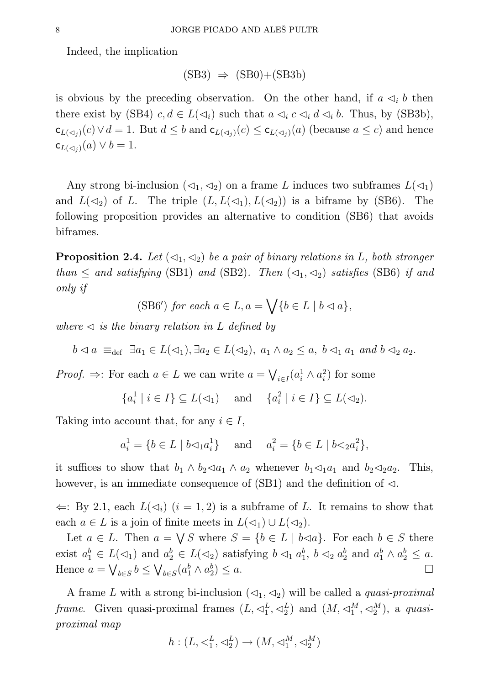Indeed, the implication

$$
(SB3) \Rightarrow (SB0) + (SB3b)
$$

is obvious by the preceding observation. On the other hand, if  $a \triangleleft_i b$  then there exist by (SB4)  $c, d \in L(\lhd_i)$  such that  $a \lhd_i c \lhd_i d \lhd_i b$ . Thus, by (SB3b),  $c_{L(\lhd_j)}(c) \lor d = 1$ . But  $d \leq b$  and  $c_{L(\lhd_j)}(c) \leq c_{L(\lhd_j)}(a)$  (because  $a \leq c$ ) and hence  $c_{L(\lhd_i)}(a) \vee b = 1.$ 

Any strong bi-inclusion  $(\lhd_1, \lhd_2)$  on a frame L induces two subframes  $L(\lhd_1)$ and  $L(\lhd_2)$  of L. The triple  $(L, L(\lhd_1), L(\lhd_2))$  is a biframe by (SB6). The following proposition provides an alternative to condition (SB6) that avoids biframes.

**Proposition 2.4.** Let  $(\lhd_1, \lhd_2)$  be a pair of binary relations in L, both stronger *than*  $\leq$  *and satisfying* (SB1) *and* (SB2)*. Then*  $(\lhd_1, \lhd_2)$  *satisfies* (SB6) *if and only if*

(SB6<sup>*'*</sup>) *for each*  $a \in L$ ,  $a = \sqrt{\{b \in L \mid b \lhd a\}}$ ,

where  $\triangleleft$  *is the binary relation in* L *defined by* 

 $b \triangleleft a \equiv_{def} \exists a_1 \in L(\triangleleft_1), \exists a_2 \in L(\triangleleft_2), a_1 \wedge a_2 \leq a, b \triangleleft_1 a_1 \text{ and } b \triangleleft_2 a_2.$ 

*Proof.*  $\Rightarrow$ : For each  $a \in L$  we can write  $a = \bigvee_{i \in I} (a_i^1 \wedge a_i^2)$  $i<sup>2</sup>$  for some

> $\{a_i^1\}$  $i \mid i \in I$   $\subseteq L(\lhd_1)$  and  $\{a_i^2\}$  $i \nvert i \in I$   $\subseteq$   $L(\triangleleft_2)$ .

Taking into account that, for any  $i \in I$ ,

 $a_i^1 = \{b \in L \mid b \triangleleft_1 a_i^1\}$  and  $a_i^2 = \{b \in L \mid b \triangleleft_2 a_i^2\},$ 

it suffices to show that  $b_1 \wedge b_2 \triangleleft a_1 \wedge a_2$  whenever  $b_1 \triangleleft a_1 a_1$  and  $b_2 \triangleleft a_2 a_2$ . This, however, is an immediate consequence of  $(SB1)$  and the definition of  $\triangleleft$ .

 $\Leftarrow$ : By 2.1, each  $L(\preceq_i)$   $(i = 1, 2)$  is a subframe of L. It remains to show that each  $a \in L$  is a join of finite meets in  $L(\lhd_1) \cup L(\lhd_2)$ .

Let  $a \in L$ . Then  $a = \bigvee S$  where  $S = \{b \in L \mid b \triangleleft a\}$ . For each  $b \in S$  there exist  $a_1^b \in L(\ll_1)$  and  $a_2^b \in L(\ll_2)$  satisfying  $b \ll_1 a_1^b$  $_1^b$ ,  $b \triangleleft_2 a_2^b$  and  $a_1^b \wedge a_2^b \leq a$ . Hence  $a = \bigvee_{b \in S} b \leq \bigvee_{b \in S} (a_1^b \wedge a_2^b)$  $\binom{b}{2} \leq a.$ 

A frame L with a strong bi-inclusion  $(\triangleleft_1, \triangleleft_2)$  will be called a *quasi-proximal frame.* Given quasi-proximal frames  $(L, \vartriangleleft_1^L, \vartriangleleft_2^L)$  and  $(M, \vartriangleleft_1^M, \vartriangleleft_2^M)$ , a *quasiproximal map*

$$
h: (L, \triangleleft_1^L, \triangleleft_2^L) \to (M, \triangleleft_1^M, \triangleleft_2^M)
$$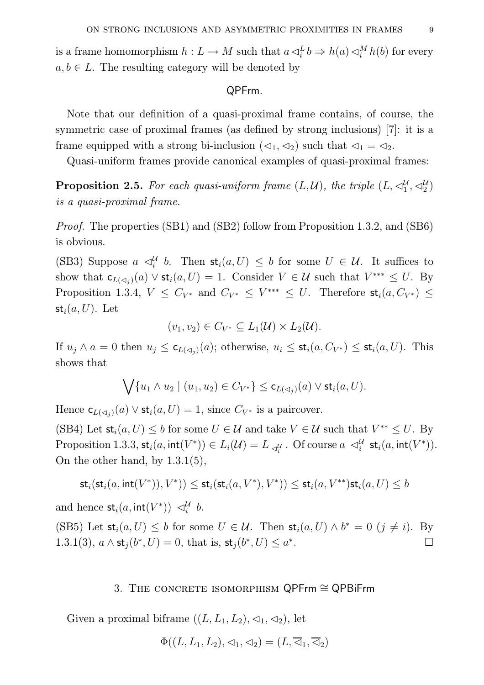is a frame homomorphism  $h: L \to M$  such that  $a \triangleleft_i^L b \Rightarrow h(a) \triangleleft_i^M h(b)$  for every  $a, b \in L$ . The resulting category will be denoted by

# QPFrm.

Note that our definition of a quasi-proximal frame contains, of course, the symmetric case of proximal frames (as defined by strong inclusions) [7]: it is a frame equipped with a strong bi-inclusion  $(\lhd_1, \lhd_2)$  such that  $\lhd_1 = \lhd_2$ .

Quasi-uniform frames provide canonical examples of quasi-proximal frames:

**Proposition 2.5.** For each quasi-uniform frame  $(L, \mathcal{U})$ , the triple  $(L, \triangleleft_1^{\mathcal{U}}, \triangleleft_2^{\mathcal{U}})$ *is a quasi-proximal frame.*

*Proof.* The properties (SB1) and (SB2) follow from Proposition 1.3.2, and (SB6) is obvious.

(SB3) Suppose  $a \preceq_i^{\mathcal{U}} b$ . Then  $\mathsf{st}_i(a, U) \preceq b$  for some  $U \in \mathcal{U}$ . It suffices to show that  $\mathsf{c}_{L(\lhd_j)}(a) \lor \mathsf{st}_i(a, U) = 1$ . Consider  $V \in \mathcal{U}$  such that  $V^{***} \leq U$ . By Proposition 1.3.4,  $V \leq C_{V^*}$  and  $C_{V^*} \leq V^{**} \leq U$ . Therefore  $\mathsf{st}_i(a, C_{V^*}) \leq$  $\mathsf{st}_i(a, U)$ . Let

 $(v_1, v_2) \in C_{V^*} \subseteq L_1(\mathcal{U}) \times L_2(\mathcal{U}).$ 

If  $u_j \wedge a = 0$  then  $u_j \leq \mathsf{c}_{L(\lhd_i)}(a)$ ; otherwise,  $u_i \leq \mathsf{st}_i(a, C_{V^*}) \leq \mathsf{st}_i(a, U)$ . This shows that

$$
\bigvee \{u_1 \wedge u_2 \mid (u_1, u_2) \in C_{V^*}\} \le \mathsf{c}_{L(\lhd_j)}(a) \vee \mathsf{st}_i(a, U).
$$

Hence  $c_{L(\leq i)}(a) \vee st_i(a, U) = 1$ , since  $C_{V^*}$  is a paircover.

(SB4) Let  $\mathsf{st}_i(a, U) \leq b$  for some  $U \in \mathcal{U}$  and take  $V \in \mathcal{U}$  such that  $V^{**} \leq U$ . By Proposition 1.3.3,  $\mathsf{st}_i(a, \mathsf{int}(V^*)) \in L_i(\mathcal{U}) = L_{\mathcal{A}_i^{\mathcal{U}}}$ . Of course  $a \preceq_i^{\mathcal{U}} \mathsf{st}_i(a, \mathsf{int}(V^*)$ . On the other hand, by 1.3.1(5),

$$
\mathsf{st}_i(\mathsf{st}_i(a,\mathsf{int}(V^*)),V^*)) \leq \mathsf{st}_i(\mathsf{st}_i(a,V^*),V^*)) \leq \mathsf{st}_i(a,V^{**})\mathsf{st}_i(a,U) \leq b
$$

and hence  $\mathsf{st}_i(a, \mathsf{int}(V^*)) \vartriangleleft_i^{\mathcal{U}} b$ .

(SB5) Let  $\mathsf{st}_i(a, U) \leq b$  for some  $U \in \mathcal{U}$ . Then  $\mathsf{st}_i(a, U) \wedge b^* = 0 \ (j \neq i)$ . By 1.3.1(3),  $a \wedge$  st<sub>j</sub> $(b^*, U) = 0$ , that is, st<sub>j</sub> $(b^*, U) \le a^*$ . — Первый процесс в постановки программа в серверном становки производительно становки производительно станов<br>В серверном становки производительно становки производительно становки производительно становки производительн

# 3. THE CONCRETE ISOMORPHISM QPFrm ≅ QPBiFrm

Given a proximal biframe  $((L, L_1, L_2), \triangleleft_1, \triangleleft_2)$ , let

$$
\Phi((L, L_1, L_2), \lhd_1, \lhd_2) = (L, \overline{\lhd}_1, \overline{\lhd}_2)
$$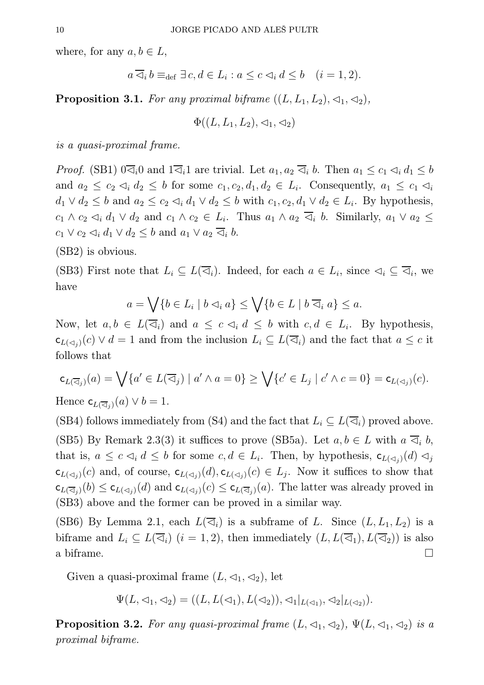where, for any  $a, b \in L$ ,

$$
a \overline{\lhd}_i b \equiv_{\text{def}} \exists c, d \in L_i : a \le c \lhd_i d \le b \quad (i = 1, 2).
$$

**Proposition 3.1.** For any proximal biframe  $((L, L_1, L_2), \triangleleft_1, \triangleleft_2)$ ,

$$
\Phi((L, L_1, L_2), \lhd_1, \lhd_2)
$$

*is a quasi-proximal frame.*

*Proof.* (SB1)  $0\overline{\triangleleft}_i 0$  and  $1\overline{\triangleleft}_i 1$  are trivial. Let  $a_1, a_2 \overline{\triangleleft}_i b$ . Then  $a_1 \leq c_1 \triangleleft_i d_1 \leq b$ and  $a_2 \leq c_2 \leq_i d_2 \leq b$  for some  $c_1, c_2, d_1, d_2 \in L_i$ . Consequently,  $a_1 \leq c_1 \leq_i$  $d_1 \vee d_2 \leq b$  and  $a_2 \leq c_2 \triangleleft_i d_1 \vee d_2 \leq b$  with  $c_1, c_2, d_1 \vee d_2 \in L_i$ . By hypothesis,  $c_1 \wedge c_2 \vartriangleleft_i d_1 \vee d_2$  and  $c_1 \wedge c_2 \in L_i$ . Thus  $a_1 \wedge a_2 \overline{\vartriangleleft}_i b$ . Similarly,  $a_1 \vee a_2 \leq$  $c_1 \vee c_2 \triangleleft_i d_1 \vee d_2 \leq b$  and  $a_1 \vee a_2 \overline{\triangleleft_i} b$ .

(SB2) is obvious.

(SB3) First note that  $L_i \subseteq L(\overline{\lhd}_i)$ . Indeed, for each  $a \in L_i$ , since  $\lhd_i \subseteq \overline{\lhd}_i$ , we have

$$
a = \bigvee \{b \in L_i \mid b \lhd_i a\} \le \bigvee \{b \in L \mid b \overline{\lhd}_i a\} \le a.
$$

Now, let  $a, b \in L(\overline{\triangleleft}_i)$  and  $a \leq c \triangleleft_i d \leq b$  with  $c, d \in L_i$ . By hypothesis,  $c_{L(\lhd_i)}(c) \lor d = 1$  and from the inclusion  $L_i \subseteq L(\overline{\lhd_i})$  and the fact that  $a \leq c$  it follows that

$$
\mathsf{c}_{L(\overline{\lhd}_j)}(a) = \bigvee \{a' \in L(\overline{\lhd}_j) \mid a' \wedge a = 0\} \ge \bigvee \{c' \in L_j \mid c' \wedge c = 0\} = \mathsf{c}_{L(\lhd_j)}(c).
$$
\nHence,  $\mathsf{c}_{L(\lhd_j)}(b) = \bigcup_{i=1}^k \{c' \in L_j \mid c' \wedge c = 0\} = \mathsf{c}_{L(\lhd_j)}(c).$ 

Hence  $c_{L(\overline{\triangleleft}i)}(a) \vee b = 1$ .

(SB4) follows immediately from (S4) and the fact that  $L_i \subseteq L(\overline{\lhd}_i)$  proved above. (SB5) By Remark 2.3(3) it suffices to prove (SB5a). Let  $a, b \in L$  with  $a \overline{\triangleleft}$  b, that is,  $a \leq c \leq_i d \leq b$  for some  $c, d \in L_i$ . Then, by hypothesis,  $\mathsf{c}_{L(\leq j)}(d) \leq j$  $c_{L(\lhd_j)}(c)$  and, of course,  $c_{L(\lhd_j)}(d), c_{L(\lhd_j)}(c) \in L_j$ . Now it suffices to show that  $c_{L(\overline{\lhd}_j)}(b) \leq c_{L(\lhd_j)}(d)$  and  $c_{L(\lhd_j)}(c) \leq c_{L(\overline{\lhd}_j)}(a)$ . The latter was already proved in (SB3) above and the former can be proved in a similar way.

(SB6) By Lemma 2.1, each  $L(\overline{\triangleleft}_i)$  is a subframe of L. Since  $(L, L_1, L_2)$  is a biframe and  $L_i \subseteq L(\overline{\lhd}_i)$   $(i = 1, 2)$ , then immediately  $(L, L(\overline{\lhd}_1), L(\overline{\lhd}_2))$  is also a biframe.  $\Box$ 

Given a quasi-proximal frame  $(L, \lhd_1, \lhd_2)$ , let

$$
\Psi(L, \lhd_1, \lhd_2) = ((L, L(\lhd_1), L(\lhd_2)), \lhd_1|_{L(\lhd_1)}, \lhd_2|_{L(\lhd_2)}).
$$

**Proposition 3.2.** For any quasi-proximal frame  $(L, \lhd_1, \lhd_2)$ ,  $\Psi(L, \lhd_1, \lhd_2)$  is a *proximal biframe.*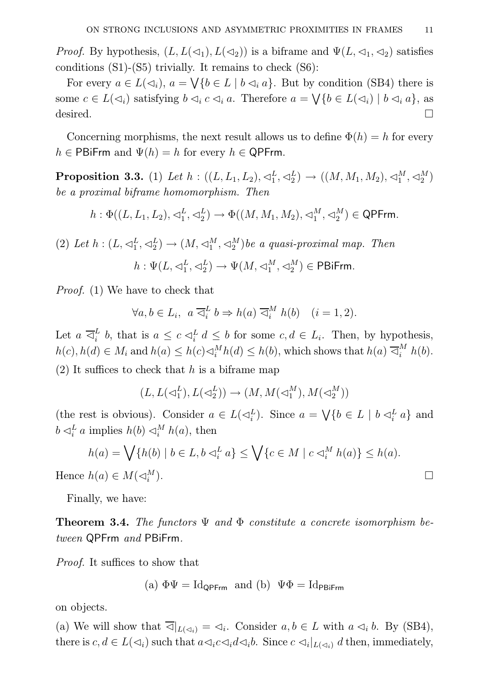*Proof.* By hypothesis,  $(L, L(\lhd_1), L(\lhd_2))$  is a biframe and  $\Psi(L, \lhd_1, \lhd_2)$  satisfies conditions (S1)-(S5) trivially. It remains to check (S6):

For every  $a \in L(\lhd_i)$ ,  $a = \bigvee \{b \in L \mid b \lhd_i a\}$ . But by condition (SB4) there is some  $c \in L(\ll_i)$  satisfying  $b \ll_i c \ll_i a$ . Therefore  $a = \bigvee \{b \in L(\ll_i) \mid b \ll_i a\}$ , as desired.  $\square$ 

Concerning morphisms, the next result allows us to define  $\Phi(h) = h$  for every  $h \in \mathsf{PBiFrm}$  and  $\Psi(h) = h$  for every  $h \in \mathsf{QPFrm}$ .

**Proposition 3.3.** (1) Let  $h: ((L, L_1, L_2), \triangleleft_1^L, \triangleleft_2^L) \rightarrow ((M, M_1, M_2), \triangleleft_1^M, \triangleleft_2^M)$ *be a proximal biframe homomorphism. Then*

$$
h: \Phi((L, L_1, L_2), \lhd_1^L, \lhd_2^L) \to \Phi((M, M_1, M_2), \lhd_1^M, \lhd_2^M) \in \mathsf{QPFrm}.
$$

(2) Let  $h: (L, \triangleleft_1^L, \triangleleft_2^L) \to (M, \triangleleft_1^M, \triangleleft_2^M)$  be a quasi-proximal map. Then  $h:\Psi(L,\lhd_1^L)$  $\frac{L}{1}, \triangleleft_2^L$  $_2^L$   $\rightarrow$   $\Psi(M, \triangleleft^M_1)$  $_1^M, \triangleleft_2^M$  $_2^M$ )  $\in$  PBiFrm.

*Proof.* (1) We have to check that

$$
\forall a, b \in L_i, \ a \overline{\lhd}_i^L b \Rightarrow h(a) \overline{\lhd}_i^M h(b) \quad (i = 1, 2).
$$

Let  $a \overline{\lhd}_i^L$  $\sum_i^L b$ , that is  $a \leq c \leq_i^L d \leq b$  for some  $c, d \in L_i$ . Then, by hypothesis,  $h(c), h(d) \in M_i$  and  $h(a) \leq h(c) \triangleleft_i^M h(d) \leq h(b)$ , which shows that  $h(a) \overline{\triangleleft}_i^M h(b)$ . (2) It suffices to check that h is a biframe map

$$
(L, L(\lhd_1^L), L(\lhd_2^L)) \to (M, M(\lhd_1^M), M(\lhd_2^M))
$$

(the rest is obvious). Consider  $a \in L(\ll_i^L)$ . Since  $a = \bigvee \{b \in L \mid b \ll_i^L a\}$  and  $b \triangleleft_i^L a$  implies  $h(b) \triangleleft_i^M h(a)$ , then

$$
h(a) = \bigvee \{h(b) \mid b \in L, b \triangleleft_i^L a\} \le \bigvee \{c \in M \mid c \triangleleft_i^M h(a)\} \le h(a).
$$
  

$$
h(a) \in M(\triangleleft_i^M).
$$

Hence  $h(a) \in M(\triangleleft_i^M)$ 

Finally, we have:

Theorem 3.4. *The functors* Ψ *and* Φ *constitute a concrete isomorphism between* QPFrm *and* PBiFrm*.*

*Proof.* It suffices to show that

(a) 
$$
\Phi \Psi = \text{Id}_{\text{QPFrm}}
$$
 and (b)  $\Psi \Phi = \text{Id}_{\text{PBIFrm}}$ 

on objects.

(a) We will show that  $\overline{\lhd}|_{L(\lhd_i)} = \lhd_i$ . Consider  $a, b \in L$  with  $a \lhd_i b$ . By (SB4), there is  $c, d \in L(\langle \prec_i \rangle)$  such that  $a \langle \prec_i d \langle \prec_i b \rangle$ . Since  $c \langle \prec_i |_{L(\langle \prec_i \rangle)} d$  then, immediately,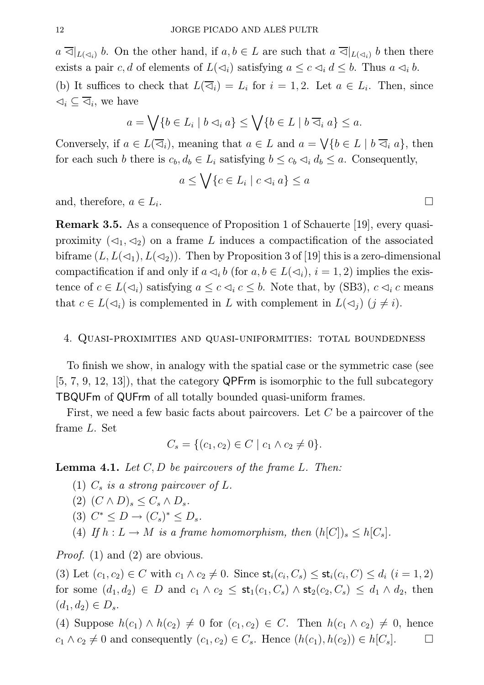$a \overline{\lhd}_{L(\lhd_i)} b$ . On the other hand, if  $a, b \in L$  are such that  $a \overline{\lhd}_{L(\lhd_i)} b$  then there exists a pair c, d of elements of  $L(\prec_i)$  satisfying  $a \leq c \prec_i d \leq b$ . Thus  $a \prec_i b$ . (b) It suffices to check that  $L(\overline{\triangleleft}_i) = L_i$  for  $i = 1, 2$ . Let  $a \in L_i$ . Then, since  $\mathcal{A}_i \subseteq \overline{\mathcal{A}}_i$ , we have

$$
a = \bigvee \{b \in L_i \mid b \lhd_i a\} \le \bigvee \{b \in L \mid b \overline{\lhd}_i a\} \le a.
$$

Conversely, if  $a \in L(\overline{\leq}_i)$ , meaning that  $a \in L$  and  $a = \bigvee \{b \in L \mid b \overline{\leq}_i a\}$ , then for each such b there is  $c_b, d_b \in L_i$  satisfying  $b \leq c_b \lhd_i d_b \leq a$ . Consequently,

$$
a \le \bigvee \{c \in L_i \mid c \lhd_i a\} \le a
$$

and, therefore,  $a \in L_i$ .

Remark 3.5. As a consequence of Proposition 1 of Schauerte [19], every quasiproximity  $(\lhd_1, \lhd_2)$  on a frame L induces a compactification of the associated biframe  $(L, L(\lhd_1), L(\lhd_2))$ . Then by Proposition 3 of [19] this is a zero-dimensional compactification if and only if  $a \triangleleft_i b$  (for  $a, b \in L(\triangleleft_i)$ ,  $i = 1, 2$ ) implies the existence of  $c \in L(\lhd_i)$  satisfying  $a \leq c \lhd_i c \leq b$ . Note that, by (SB3),  $c \lhd_i c$  means that  $c \in L(\lhd_i)$  is complemented in L with complement in  $L(\lhd_i)$   $(j \neq i)$ .

#### 4. Quasi-proximities and quasi-uniformities: total boundedness

To finish we show, in analogy with the spatial case or the symmetric case (see [5, 7, 9, 12, 13]), that the category QPFrm is isomorphic to the full subcategory TBQUFm of QUFrm of all totally bounded quasi-uniform frames.

First, we need a few basic facts about paircovers. Let C be a paircover of the frame L. Set

 $C_s = \{(c_1, c_2) \in C \mid c_1 \wedge c_2 \neq 0\}.$ 

Lemma 4.1. *Let* C, D *be paircovers of the frame* L*. Then:*

- (1)  $C_s$  *is a strong paircover of L.*
- (2)  $(C \wedge D)_s \leq C_s \wedge D_s$ .
- (3)  $C^* \leq D \to (C_s)^* \leq D_s$ .
- (4) If  $h: L \to M$  is a frame homomorphism, then  $(h[C])_s \leq h[C_s]$ .

*Proof.* (1) and (2) are obvious.

(3) Let  $(c_1, c_2) \in C$  with  $c_1 \wedge c_2 \neq 0$ . Since  $\mathsf{st}_i(c_i, C_s) \leq \mathsf{st}_i(c_i, C) \leq d_i$   $(i = 1, 2)$ for some  $(d_1, d_2) \in D$  and  $c_1 \wedge c_2 \leq st_1(c_1, C_s) \wedge st_2(c_2, C_s) \leq d_1 \wedge d_2$ , then  $(d_1, d_2) \in D_s.$ 

(4) Suppose  $h(c_1) \wedge h(c_2) \neq 0$  for  $(c_1, c_2) \in C$ . Then  $h(c_1 \wedge c_2) \neq 0$ , hence  $c_1 \wedge c_2 \neq 0$  and consequently  $(c_1, c_2) \in C_s$ . Hence  $(h(c_1), h(c_2)) \in h[C_s]$ .

. The contract of the contract of the contract of the contract of the contract of the contract of the contract of the contract of the contract of the contract of the contract of the contract of the contract of the contract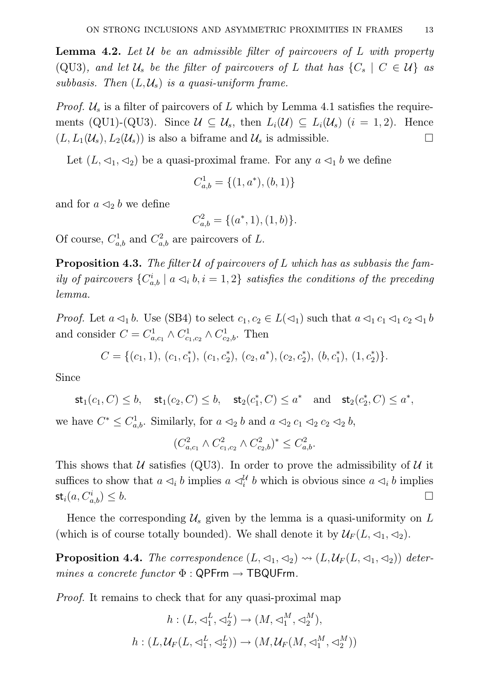Lemma 4.2. *Let* U *be an admissible filter of paircovers of* L *with property* (QU3)*, and let*  $U_s$  *be the filter of paircovers of* L *that has*  $\{C_s \mid C \in U\}$  *as subbasis. Then*  $(L, \mathcal{U}_s)$  *is a quasi-uniform frame.* 

*Proof.*  $U_s$  is a filter of paircovers of L which by Lemma 4.1 satisfies the requirements (QU1)-(QU3). Since  $\mathcal{U} \subseteq \mathcal{U}_s$ , then  $L_i(\mathcal{U}) \subseteq L_i(\mathcal{U}_s)$   $(i = 1, 2)$ . Hence  $(L, L_1(\mathcal{U}_s), L_2(\mathcal{U}_s))$  is also a biframe and  $\mathcal{U}_s$  is admissible.

Let  $(L, \lhd_1, \lhd_2)$  be a quasi-proximal frame. For any  $a \lhd_1 b$  we define

$$
C_{a,b}^1 = \{(1, a^*), (b, 1)\}
$$

and for  $a \triangleleft_2 b$  we define

$$
C_{a,b}^2 = \{(a^*, 1), (1, b)\}.
$$

Of course,  $C_{a,b}^1$  and  $C_{a,b}^2$  are paircovers of L.

Proposition 4.3. *The filter* U *of paircovers of* L *which has as subbasis the family of paircovers*  $\{C_{a,b}^i | a \triangleleft_i b, i = 1, 2\}$  *satisfies the conditions of the preceding lemma.*

*Proof.* Let  $a \triangleleft_1 b$ . Use (SB4) to select  $c_1, c_2 \in L(\triangleleft_1)$  such that  $a \triangleleft_1 c_1 \triangleleft_1 c_2 \triangleleft_1 b$ and consider  $C = C_a^1$  $c_1^{1} \wedge C_{c_1}^1$  $C_{c_1,c_2}^1 \wedge C_{c_2,b}^1$ . Then

$$
C = \{(c_1, 1), (c_1, c_1^*), (c_1, c_2^*), (c_2, a^*), (c_2, c_2^*), (b, c_1^*), (1, c_2^*)\}.
$$

Since

$$
\mathsf{st}_1(c_1,C) \le b, \quad \mathsf{st}_1(c_2,C) \le b, \quad \mathsf{st}_2(c_1^*,C) \le a^* \quad \text{and} \quad \mathsf{st}_2(c_2^*,C) \le a^*,
$$

we have  $C^* \leq C_{a,b}^1$ . Similarly, for  $a \triangleleft_2 b$  and  $a \triangleleft_2 c_1 \triangleleft_2 c_2 \triangleleft_2 b$ ,

$$
(C_{a,c_1}^2 \wedge C_{c_1,c_2}^2 \wedge C_{c_2,b}^2)^* \leq C_{a,b}^2.
$$

This shows that  $U$  satisfies (QU3). In order to prove the admissibility of  $U$  it suffices to show that  $a \triangleleft_i b$  implies  $a \triangleleft_i b$  which is obvious since  $a \triangleleft_i b$  implies  $\mathsf{st}_i(a, C_{a,b}^i) \leq b.$ 

Hence the corresponding  $\mathcal{U}_s$  given by the lemma is a quasi-uniformity on L (which is of course totally bounded). We shall denote it by  $\mathcal{U}_F(L, \triangleleft_1, \triangleleft_2)$ .

**Proposition 4.4.** *The correspondence*  $(L, \lhd_1, \lhd_2) \rightsquigarrow (L, \mathcal{U}_F(L, \lhd_1, \lhd_2))$  *determines a concrete functor*  $\Phi$  : QPFrm  $\rightarrow$  TBQUFrm.

*Proof.* It remains to check that for any quasi-proximal map

$$
h: (L, \triangleleft_1^L, \triangleleft_2^L) \to (M, \triangleleft_1^M, \triangleleft_2^M),
$$

$$
h: (L, \mathcal{U}_F(L, \triangleleft_1^L, \triangleleft_2^L)) \to (M, \mathcal{U}_F(M, \triangleleft_1^M, \triangleleft_2^M))
$$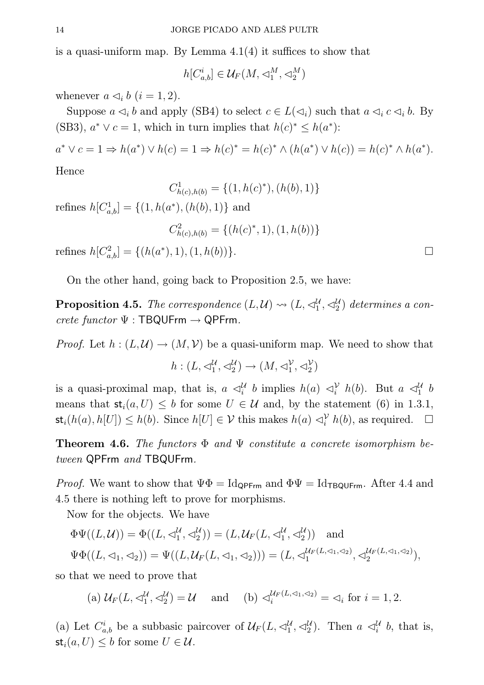is a quasi-uniform map. By Lemma 4.1(4) it suffices to show that

$$
h[C^i_{a,b}] \in \mathcal U_F(M,\lhd^M_1,\lhd^M_2)
$$

whenever  $a \triangleleft_i b$   $(i = 1, 2)$ .

Suppose  $a \triangleleft_i b$  and apply (SB4) to select  $c \in L(\triangleleft_i)$  such that  $a \triangleleft_i c \triangleleft_i b$ . By (SB3),  $a^* \vee c = 1$ , which in turn implies that  $h(c)^* \leq h(a^*)$ :

$$
a^* \vee c = 1 \Rightarrow h(a^*) \vee h(c) = 1 \Rightarrow h(c)^* = h(c)^* \wedge (h(a^*) \vee h(c)) = h(c)^* \wedge h(a^*).
$$

Hence

$$
C_{h(c),h(b)}^1 = \{(1,h(c)^*), (h(b),1)\}
$$

refines  $h[C_{a,b}^1] = \{(1, h(a^*), (h(b), 1)\}\)$ and

$$
C_{h(c),h(b)}^{2} = \{(h(c)^{*}, 1), (1, h(b))\}
$$

refines  $h[C_{a,b}^2] = \{(h(a^*), 1), (1, h(b))\}.$ 

On the other hand, going back to Proposition 2.5, we have:

Proposition 4.5. *The correspondence*  $(L, \mathcal{U}) \rightsquigarrow (L, \triangleleft_1^{\mathcal{U}}, \triangleleft_2^{\mathcal{U}})$  determines a con*crete functor* Ψ : TBQUFrm → QPFrm*.*

*Proof.* Let  $h : (L, \mathcal{U}) \to (M, \mathcal{V})$  be a quasi-uniform map. We need to show that  $h: (L, \triangleleft^{\mathcal{U}}_1)$  $\frac{u}{1}, \triangleleft^{\mathcal{U}}_2$  $_{2}^{\mathcal{U}}) \rightarrow (M, \triangleleft_{1}^{\mathcal{V}})$  $_1^{\mathcal{V}}, \triangleleft_2^{\mathcal{V}}$  $_{2}^{\nu})$ 

is a quasi-proximal map, that is,  $a \preceq_i^{\mathcal{U}} b$  implies  $h(a) \preceq_i^{\mathcal{V}} h(b)$ . But  $a \preceq_1^{\mathcal{U}} b$ means that  $\mathsf{st}_i(a, U) \leq b$  for some  $U \in \mathcal{U}$  and, by the statement (6) in 1.3.1,  $\mathsf{st}_i(h(a), h[U]) \leq h(b)$ . Since  $h[U] \in \mathcal{V}$  this makes  $h(a) \triangleleft_i^{\mathcal{V}} h(b)$ , as required.  $\Box$ 

Theorem 4.6. *The functors* Φ *and* Ψ *constitute a concrete isomorphism between* QPFrm *and* TBQUFrm*.*

*Proof.* We want to show that  $\Psi \Phi = \text{Id}_{\text{QPFrm}}$  and  $\Phi \Psi = \text{Id}_{\text{TBQUerm}}$ . After 4.4 and 4.5 there is nothing left to prove for morphisms.

Now for the objects. We have

$$
\Phi\Psi((L,\mathcal{U})) = \Phi((L, \triangleleft_1^{\mathcal{U}}, \triangleleft_2^{\mathcal{U}})) = (L, \mathcal{U}_F(L, \triangleleft_1^{\mathcal{U}}, \triangleleft_2^{\mathcal{U}})) \text{ and}
$$
  

$$
\Psi\Phi((L, \triangleleft_1, \triangleleft_2)) = \Psi((L, \mathcal{U}_F(L, \triangleleft_1, \triangleleft_2))) = (L, \triangleleft_1^{\mathcal{U}_F(L, \triangleleft_1, \triangleleft_2)}, \triangleleft_2^{\mathcal{U}_F(L, \triangleleft_1, \triangleleft_2)}),
$$

so that we need to prove that

(a)  $\mathcal{U}_F(L, \triangleleft^{\mathcal{U}}_1)$  $\frac{u}{1}, \triangleleft_2^{\mathcal{U}}$  $\mathcal{U}_2^{(2)} = \mathcal{U}$  and (b)  $\triangleleft_i^{U_F(L, \triangleleft 1, \triangleleft 2)} = \triangleleft_i$  for  $i = 1, 2$ .

(a) Let  $C_{a,b}^i$  be a subbasic paircover of  $\mathcal{U}_F(L, \triangleleft_1^{\mathcal{U}}, \triangleleft_2^{\mathcal{U}})$ . Then  $a \triangleleft_1^{\mathcal{U}} b$ , that is,  $\mathsf{st}_i(a, U) \leq b$  for some  $U \in \mathcal{U}$ .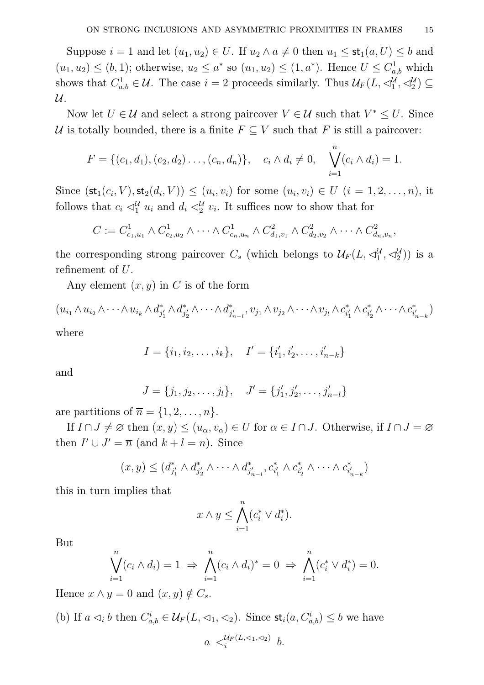Suppose  $i = 1$  and let  $(u_1, u_2) \in U$ . If  $u_2 \wedge a \neq 0$  then  $u_1 \leq \text{st}_1(a, U) \leq b$  and  $(u_1, u_2) \leq (b, 1)$ ; otherwise,  $u_2 \leq a^*$  so  $(u_1, u_2) \leq (1, a^*)$ . Hence  $U \leq C_{a,b}^1$  which shows that  $C_{a,b}^1 \in \mathcal{U}$ . The case  $i=2$  proceeds similarly. Thus  $\mathcal{U}_F(L, \triangleleft_1^{\mathcal{U}}, \triangleleft_2^{\mathcal{U}}) \subseteq$  $\mathcal{U}.$ 

Now let  $U \in \mathcal{U}$  and select a strong paircover  $V \in \mathcal{U}$  such that  $V^* \leq U$ . Since U is totally bounded, there is a finite  $F \subseteq V$  such that F is still a paircover:

$$
F = \{(c_1, d_1), (c_2, d_2), \ldots, (c_n, d_n)\}, \quad c_i \wedge d_i \neq 0, \quad \bigvee_{i=1}^n (c_i \wedge d_i) = 1.
$$

Since  $(\text{st}_1(c_i, V), \text{st}_2(d_i, V)) \le (u_i, v_i)$  for some  $(u_i, v_i) \in U$   $(i = 1, 2, ..., n)$ , it follows that  $c_i \vartriangleleft_1^{\mathcal{U}} u_i$  and  $d_i \vartriangleleft_2^{\mathcal{U}} v_i$ . It suffices now to show that for

$$
C := C_{c_1,u_1}^1 \wedge C_{c_2,u_2}^1 \wedge \cdots \wedge C_{c_n,u_n}^1 \wedge C_{d_1,v_1}^2 \wedge C_{d_2,v_2}^2 \wedge \cdots \wedge C_{d_n,v_n}^2,
$$

the corresponding strong paircover  $C_s$  (which belongs to  $\mathcal{U}_F(L, \triangleleft_1^{\mathcal{U}}, \triangleleft_2^{\mathcal{U}}))$  is a refinement of U.

Any element  $(x, y)$  in C is of the form

$$
(u_{i_1} \wedge u_{i_2} \wedge \cdots \wedge u_{i_k} \wedge d_{j'_1}^* \wedge d_{j'_2}^* \wedge \cdots \wedge d_{j'_{n-1}}^*, v_{j_1} \wedge v_{j_2} \wedge \cdots \wedge v_{j_l} \wedge c_{i'_1}^* \wedge c_{i'_2}^* \wedge \cdots \wedge c_{i'_{n-k}}^*)
$$
  
where

where

$$
I = \{i_1, i_2, \dots, i_k\}, \quad I' = \{i'_1, i'_2, \dots, i'_{n-k}\}\
$$

and

$$
J = \{j_1, j_2, \dots, j_l\}, \quad J' = \{j'_1, j'_2, \dots, j'_{n-l}\}\
$$

are partitions of  $\overline{n} = \{1, 2, \ldots, n\}.$ 

If  $I \cap J \neq \emptyset$  then  $(x, y) \leq (u_{\alpha}, v_{\alpha}) \in U$  for  $\alpha \in I \cap J$ . Otherwise, if  $I \cap J = \emptyset$ then  $I' \cup J' = \overline{n}$  (and  $k + l = n$ ). Since

$$
(x,y) \leq (d_{j'_1}^* \wedge d_{j'_2}^* \wedge \cdots \wedge d_{j'_{n-1}}, c_{i'_1}^* \wedge c_{i'_2}^* \wedge \cdots \wedge c_{i'_{n-k}}^*)
$$

this in turn implies that

$$
x \wedge y \leq \bigwedge_{i=1}^{n} (c_i^* \vee d_i^*).
$$

But

$$
\bigvee_{i=1}^{n} (c_i \wedge d_i) = 1 \implies \bigwedge_{i=1}^{n} (c_i \wedge d_i)^* = 0 \implies \bigwedge_{i=1}^{n} (c_i^* \vee d_i^*) = 0.
$$

Hence  $x \wedge y = 0$  and  $(x, y) \notin C_s$ .

(b) If 
$$
a \lhd_i b
$$
 then  $C_{a,b}^i \in \mathcal{U}_F(L, \lhd_1, \lhd_2)$ . Since  $\mathsf{st}_i(a, C_{a,b}^i) \leq b$  we have  
\n
$$
a \lhd_i^{\mathcal{U}_F(L, \lhd_1, \lhd_2)} b.
$$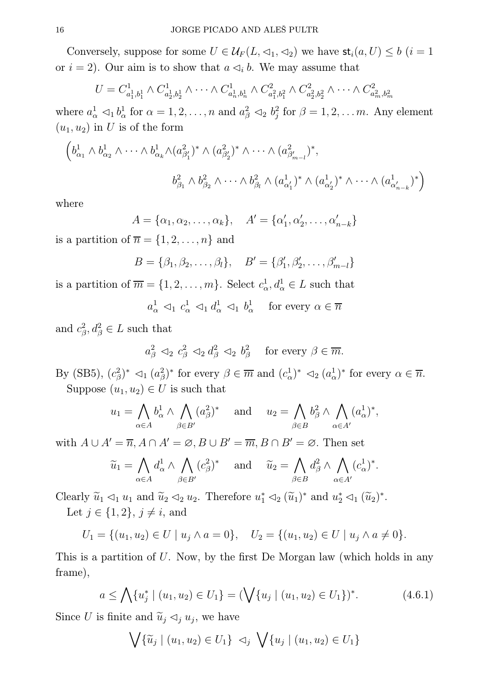Conversely, suppose for some  $U \in \mathcal{U}_F(L, \triangleleft_1, \triangleleft_2)$  we have  $\mathsf{st}_i(a, U) \leq b$   $(i = 1, j)$ or  $i = 2$ ). Our aim is to show that  $a \triangleleft_i b$ . We may assume that

$$
U = C_{a_1^1, b_1^1}^1 \wedge C_{a_2^1, b_2^1}^1 \wedge \cdots \wedge C_{a_n^1, b_n^1}^1 \wedge C_{a_1^2, b_1^2}^2 \wedge C_{a_2^2, b_2^2}^2 \wedge \cdots \wedge C_{a_m^2, b_m^2}^2
$$

where  $a^1_\alpha \triangleleft_1 b^1_\alpha$  $\frac{1}{\alpha}$  for  $\alpha = 1, 2, \ldots, n$  and  $a_{\beta}^2 \lhd_2 b_{\beta}^2$  $j<sup>2</sup>$  for  $\beta = 1, 2, \ldots m$ . Any element  $(u_1, u_2)$  in U is of the form

$$
\left(b_{\alpha_1}^1 \wedge b_{\alpha_2}^1 \wedge \cdots \wedge b_{\alpha_k}^1 \wedge (a_{\beta'_1}^2)^* \wedge (a_{\beta'_2}^2)^* \wedge \cdots \wedge (a_{\beta'_{m-l}}^2)^*,\n b_{\beta_1}^2 \wedge b_{\beta_2}^2 \wedge \cdots \wedge b_{\beta_l}^2 \wedge (a_{\alpha'_1}^1)^* \wedge (a_{\alpha'_2}^1)^* \wedge \cdots \wedge (a_{\alpha'_{n-k}}^1)^*\right)
$$

where

$$
A = {\alpha_1, \alpha_2, \dots, \alpha_k}, \quad A' = {\alpha'_1, \alpha'_2, \dots, \alpha'_{n-k}}
$$

is a partition of  $\overline{n} = \{1, 2, \ldots, n\}$  and

$$
B = \{\beta_1, \beta_2, \dots, \beta_l\}, \quad B' = \{\beta'_1, \beta'_2, \dots, \beta'_{m-l}\}\
$$

is a partition of  $\overline{m} = \{1, 2, \ldots, m\}$ . Select  $c_{\alpha}^1$  $\frac{1}{\alpha}, d^1_{\alpha} \in L$  such that

> $a^1_\alpha \triangleleft_1 c^1_\alpha \triangleleft_1 d^1_\alpha \triangleleft_1 b^1_\alpha$  $\alpha^{\perp}$  for every  $\alpha \in \overline{n}$

and  $c^2_\beta$  $a^2_{\beta}, d^2_{\beta} \in L$  such that

$$
a_{\beta}^{2} \triangleleft_{2} c_{\beta}^{2} \triangleleft_{2} d_{\beta}^{2} \triangleleft_{2} b_{\beta}^{2}
$$
 for every  $\beta \in \overline{m}$ .

By (SB5),  $(c<sub>\beta</sub><sup>2</sup>)$  $^{2}_{\beta})^*$   $\lhd_1 (a^2_{\beta})$  $(\beta)^*$  for every  $\beta \in \overline{m}$  and  $(c^1_{\alpha})$  $(a_\alpha^1)^* \triangleleft_2 (a_\alpha^1)$  $(\alpha)^*$  for every  $\alpha \in \overline{n}$ . Suppose  $(u_1, u_2) \in U$  is such that

$$
u_1 = \bigwedge_{\alpha \in A} b^1_{\alpha} \wedge \bigwedge_{\beta \in B'} (a^2_{\beta})^* \quad \text{and} \quad u_2 = \bigwedge_{\beta \in B} b^2_{\beta} \wedge \bigwedge_{\alpha \in A'} (a^1_{\alpha})^*,
$$

with  $A \cup A' = \overline{n}, A \cap A' = \emptyset, B \cup B' = \overline{m}, B \cap B' = \emptyset$ . Then set

$$
\widetilde{u}_1 = \bigwedge_{\alpha \in A} d^1_{\alpha} \wedge \bigwedge_{\beta \in B'} (c^2_{\beta})^* \quad \text{ and } \quad \widetilde{u}_2 = \bigwedge_{\beta \in B} d^2_{\beta} \wedge \bigwedge_{\alpha \in A'} (c^1_{\alpha})^*.
$$

Clearly  $\widetilde{u}_1 \triangleleft_1 u_1$  and  $\widetilde{u}_2 \triangleleft_2 u_2$ . Therefore  $u_1^* \triangleleft_2 (\widetilde{u}_1)^*$  and  $u_2^* \triangleleft_1 (\widetilde{u}_2)^*$ .

Let  $j \in \{1, 2\}, j \neq i$ , and

$$
U_1 = \{(u_1, u_2) \in U \mid u_j \wedge a = 0\}, \quad U_2 = \{(u_1, u_2) \in U \mid u_j \wedge a \neq 0\}.
$$

This is a partition of U. Now, by the first De Morgan law (which holds in any frame),

$$
a \le \bigwedge \{u_j^* \mid (u_1, u_2) \in U_1\} = (\bigvee \{u_j \mid (u_1, u_2) \in U_1\})^*.
$$
 (4.6.1)

Since U is finite and  $\widetilde{u}_j \triangleleft_j u_j$ , we have

$$
\bigvee \{ \widetilde{u}_j \mid (u_1, u_2) \in U_1 \} \ \lhd_j \ \bigvee \{ u_j \mid (u_1, u_2) \in U_1 \}
$$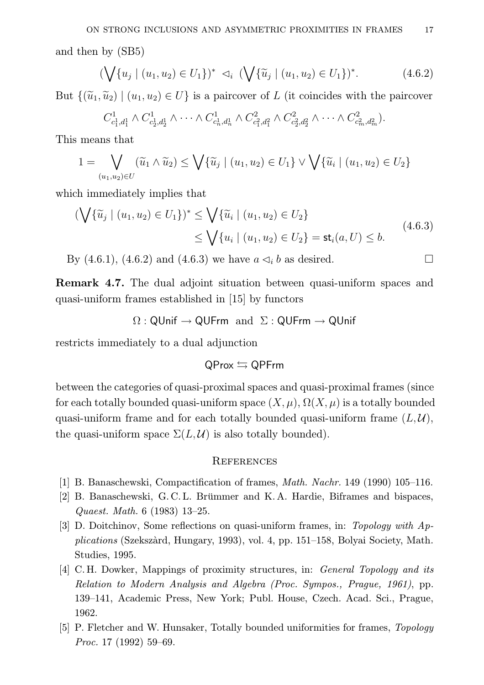and then by (SB5)

$$
(\bigvee \{u_j \mid (u_1, u_2) \in U_1\})^* \triangleleft_i (\bigvee \{\widetilde{u}_j \mid (u_1, u_2) \in U_1\})^*.
$$
 (4.6.2)

But  $\{(\widetilde{u}_1, \widetilde{u}_2) \mid (u_1, u_2) \in U\}$  is a paircover of L (it coincides with the paircover

$$
C_{c_1^1,d_1^1}^1 \wedge C_{c_2^1,d_2^1}^1 \wedge \cdots \wedge C_{c_n^1,d_n^1}^1 \wedge C_{c_1^2,d_1^2}^2 \wedge C_{c_2^2,d_2^2}^2 \wedge \cdots \wedge C_{c_m^2,d_m^2}^2).
$$

This means that

$$
1 = \bigvee_{(u_1, u_2) \in U} (\widetilde{u}_1 \wedge \widetilde{u}_2) \le \bigvee \{ \widetilde{u}_j \mid (u_1, u_2) \in U_1 \} \vee \bigvee \{ \widetilde{u}_i \mid (u_1, u_2) \in U_2 \}
$$

which immediately implies that

$$
(\bigvee {\tilde{u}_j \mid (u_1, u_2) \in U_1})^* \leq \bigvee {\tilde{u}_i \mid (u_1, u_2) \in U_2}
$$
  
 
$$
\leq \bigvee {\{u_i \mid (u_1, u_2) \in U_2\}} = \mathsf{st}_i(a, U) \leq b.
$$
 (4.6.3)

By  $(4.6.1)$ ,  $(4.6.2)$  and  $(4.6.3)$  we have  $a \triangleleft_i b$  as desired.

Remark 4.7. The dual adjoint situation between quasi-uniform spaces and quasi-uniform frames established in [15] by functors

$$
\Omega: \mathsf{QUnif} \to \mathsf{QUFrm} \ \ \mathrm{and} \ \ \Sigma: \mathsf{QUFrm} \to \mathsf{QUnif}
$$

restricts immediately to a dual adjunction

$$
\mathsf{QProx} \leftrightarrows \mathsf{QPFrm}
$$

between the categories of quasi-proximal spaces and quasi-proximal frames (since for each totally bounded quasi-uniform space  $(X, \mu)$ ,  $\Omega(X, \mu)$  is a totally bounded quasi-uniform frame and for each totally bounded quasi-uniform frame  $(L, \mathcal{U}),$ the quasi-uniform space  $\Sigma(L, \mathcal{U})$  is also totally bounded).

# **REFERENCES**

- [1] B. Banaschewski, Compactification of frames, Math. Nachr. 149 (1990) 105–116.
- [2] B. Banaschewski, G. C. L. Brümmer and K. A. Hardie, Biframes and bispaces, Quaest. Math. 6 (1983) 13–25.
- [3] D. Doitchinov, Some reflections on quasi-uniform frames, in: Topology with Applications (Szekszàrd, Hungary, 1993), vol. 4, pp. 151–158, Bolyai Society, Math. Studies, 1995.
- [4] C. H. Dowker, Mappings of proximity structures, in: General Topology and its Relation to Modern Analysis and Algebra (Proc. Sympos., Prague, 1961), pp. 139–141, Academic Press, New York; Publ. House, Czech. Acad. Sci., Prague, 1962.
- [5] P. Fletcher and W. Hunsaker, Totally bounded uniformities for frames, Topology Proc. 17 (1992) 59–69.